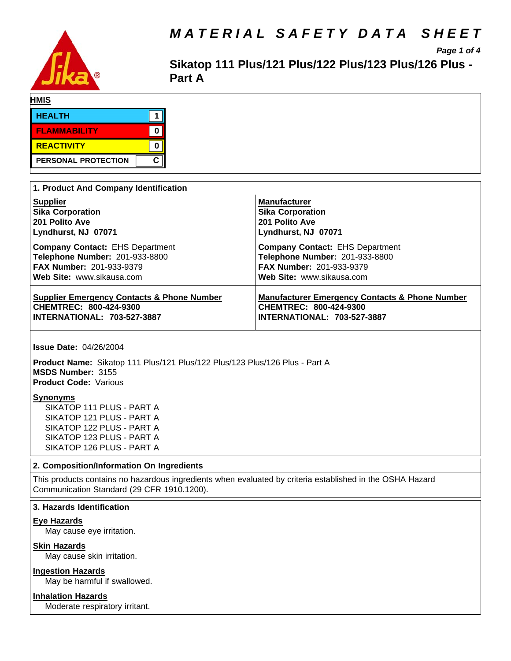

# *MATERIAL SAFETY DATA SHEET*

*Page 1 of 4*

Sikatop 111 Plus/121 Plus/122 Plus/123 Plus/126 Plus -**Part A**

| HMIS                       |  |
|----------------------------|--|
| <b>HEALTH</b>              |  |
| <b>FLAMMABILITY</b>        |  |
| <b>REACTIVITY</b>          |  |
| <b>PERSONAL PROTECTION</b> |  |

| 1. Product And Company Identification                 |                                                           |
|-------------------------------------------------------|-----------------------------------------------------------|
| <b>Supplier</b>                                       | <b>Manufacturer</b>                                       |
| <b>Sika Corporation</b>                               | <b>Sika Corporation</b>                                   |
| 201 Polito Ave                                        | 201 Polito Ave                                            |
| Lyndhurst, NJ 07071                                   | Lyndhurst, NJ 07071                                       |
| <b>Company Contact: EHS Department</b>                | <b>Company Contact: EHS Department</b>                    |
| Telephone Number: 201-933-8800                        | Telephone Number: 201-933-8800                            |
| <b>FAX Number: 201-933-9379</b>                       | <b>FAX Number: 201-933-9379</b>                           |
| Web Site: www.sikausa.com                             | Web Site: www.sikausa.com                                 |
| <b>Supplier Emergency Contacts &amp; Phone Number</b> | <b>Manufacturer Emergency Contacts &amp; Phone Number</b> |
| CHEMTREC: 800-424-9300                                | CHEMTREC: 800-424-9300                                    |
| INTERNATIONAL: 703-527-3887                           | <b>INTERNATIONAL: 703-527-3887</b>                        |

**Issue Date:** 04/26/2004

Product Name: Sikatop 111 Plus/121 Plus/122 Plus/123 Plus/126 Plus - Part A **MSDS Number:** 3155 **Product Code:** Various

#### **Synonyms**

SIKATOP 111 PLUS - PART A SIKATOP 121 PLUS - PART A SIKATOP 122 PLUS - PART A SIKATOP 123 PLUS - PART A SIKATOP 126 PLUS - PART A

# **2. Composition/Information On Ingredients**

This products contains no hazardous ingredients when evaluated by criteria established in the OSHA Hazard Communication Standard (29 CFR 1910.1200).

# **3. Hazards Identification**

# **Eye Hazards**

May cause eye irritation.

# **Skin Hazards**

May cause skin irritation.

# **Ingestion Hazards**

May be harmful if swallowed.

# **Inhalation Hazards**

Moderate respiratory irritant.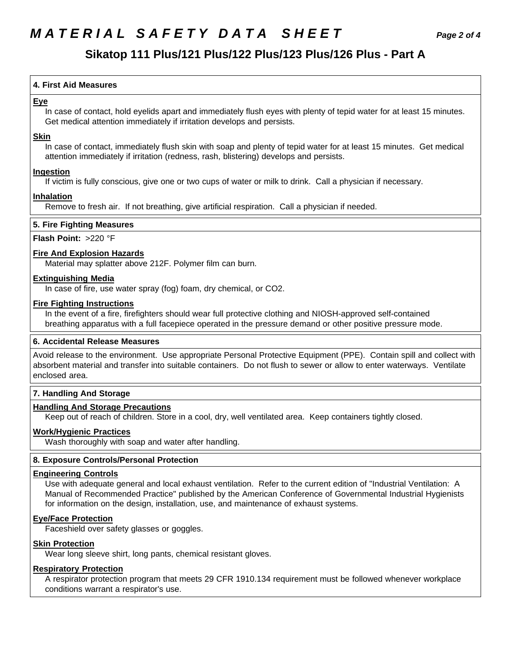# *MATERIAL SAFETY DATA SHEET Page 2 of 4*

# **Sikatop 111 Plus/121 Plus/122 Plus/123 Plus/126 Plus - Part A**

# **4.First AidMeasures**

### **Eye**

In case of contact, hold eyelids apart and immediately flush eyes with plenty of tepid water for at least 15 minutes. Get medical attention immediately if irritation develops and persists.

### **Skin**

In case of contact, immediately flush skin with soap and plenty of tepid water for at least 15 minutes. Get medical attention immediately if irritation (redness, rash, blistering) develops and persists.

# **Ingestion**

If victim is fully conscious, give one or two cups of water or milk to drink. Call a physician if necessary.

# **Inhalation**

Remove to fresh air. If not breathing, give artificial respiration. Call a physician if needed.

### **5. Fire Fighting Measures**

#### **Flash Point:** >220 °F

#### **Fire And Explosion Hazards**

Material may splatter above 212F. Polymer film can burn.

#### **Extinguishing Media**

In case of fire, use water spray (fog) foam, dry chemical, or CO2.

#### **Fire Fighting Instructions**

In the event of a fire, firefighters should wear full protective clothing and NIOSH-approved self-contained breathing apparatus with a full facepiece operated in the pressure demand or other positive pressure mode.

# **6. Accidental Release Measures**

Avoid release to the environment. Use appropriate Personal Protective Equipment (PPE). Contain spill and collect with absorbent material and transfer into suitable containers. Do not flush to sewer or allow to enter waterways. Ventilate enclosed area.

# **7. Handling And Storage**

#### **Handling And Storage Precautions**

Keep out of reach of children. Store in a cool, dry, well ventilated area. Keep containers tightly closed.

#### **Work/Hygienic Practices**

Wash thoroughly with soap and water after handling.

# **8. Exposure Controls/Personal Protection**

#### **Engineering Controls**

Use with adequate general and local exhaust ventilation. Refer to the current edition of "Industrial Ventilation: A Manual of Recommended Practice" published by the American Conference of Governmental Industrial Hygienists for information on the design, installation, use, and maintenance of exhaust systems.

# **Eye/Face Protection**

Faceshield over safety glasses or goggles.

# **Skin Protection**

Wear long sleeve shirt, long pants, chemical resistant gloves.

# **Respiratory Protection**

A respirator protection program that meets 29 CFR 1910.134 requirement must be followed whenever workplace conditions warrant a respirator's use.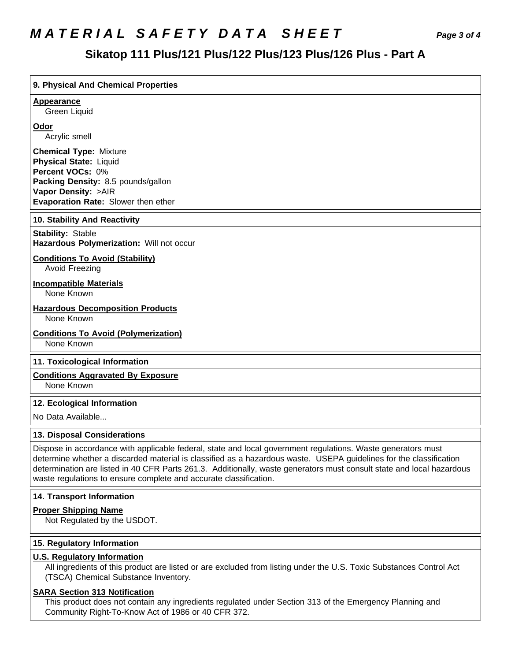# *MATERIAL SAFETY DATA SHEET Page 3 of 4*

# **Sikatop 111 Plus/121 Plus/122 Plus/123 Plus/126 Plus - Part A**

# **9. PhysicalAnd Chemical Properties Appearance** Green Liquid **Odor** Acrylic smell **Chemical Type:** Mixture **Physical State:** Liquid **Percent VOCs:** 0% **Packing Density:** 8.5 pounds/gallon **Vapor Density:** >AIR **Evaporation Rate:** Slower then ether **10. Stability And Reactivity Stability: Stable Hazardous Polymerization: Will not occur Conditions To Avoid (Stability)** Avoid Freezing **Incompatible Materials** None Known **Hazardous Decomposition Products** None Known **Conditions To Avoid (Polymerization)** None Known **11. Toxicological Information Conditions Aggravated By Exposure** None Known **12. Ecological Information**

No Data Available...

# **13. Disposal Considerations**

Dispose in accordance with applicable federal, state and local government regulations. Waste generators must determine whether a discarded material is classified as a hazardous waste. USEPA guidelines for the classification determination are listed in 40 CFR Parts 261.3. Additionally, waste generators must consult state and local hazardous waste regulations to ensure complete and accurate classification.

#### **14. Transport Information**

#### **Proper Shipping Name**

Not Regulated by the USDOT.

#### **15. Regulatory Information**

#### **U.S. Regulatory Information**

All ingredients of this product are listed or are excluded from listing under the U.S. Toxic Substances Control Act (TSCA) Chemical Substance Inventory.

# **SARA Section 313 Notification**

This product does not contain any ingredients regulated under Section 313 of the Emergency Planning and Community Right-To-Know Act of 1986 or 40 CFR 372.